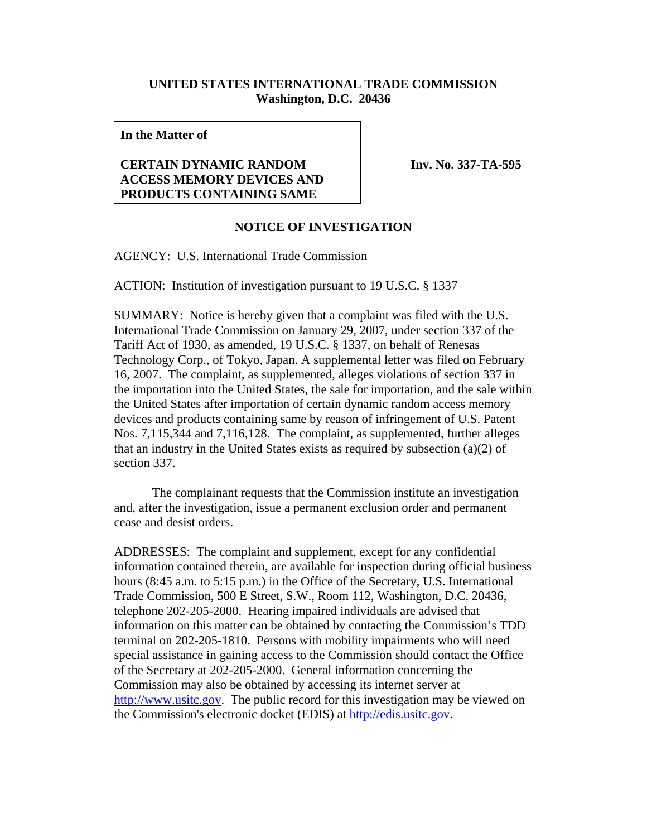## **UNITED STATES INTERNATIONAL TRADE COMMISSION Washington, D.C. 20436**

**In the Matter of**

## **CERTAIN DYNAMIC RANDOM ACCESS MEMORY DEVICES AND PRODUCTS CONTAINING SAME**

**Inv. No. 337-TA-595**

## **NOTICE OF INVESTIGATION**

AGENCY: U.S. International Trade Commission

ACTION: Institution of investigation pursuant to 19 U.S.C. § 1337

SUMMARY: Notice is hereby given that a complaint was filed with the U.S. International Trade Commission on January 29, 2007, under section 337 of the Tariff Act of 1930, as amended, 19 U.S.C. § 1337, on behalf of Renesas Technology Corp., of Tokyo, Japan. A supplemental letter was filed on February 16, 2007. The complaint, as supplemented, alleges violations of section 337 in the importation into the United States, the sale for importation, and the sale within the United States after importation of certain dynamic random access memory devices and products containing same by reason of infringement of U.S. Patent Nos. 7,115,344 and 7,116,128. The complaint, as supplemented, further alleges that an industry in the United States exists as required by subsection (a)(2) of section 337.

The complainant requests that the Commission institute an investigation and, after the investigation, issue a permanent exclusion order and permanent cease and desist orders.

ADDRESSES: The complaint and supplement, except for any confidential information contained therein, are available for inspection during official business hours (8:45 a.m. to 5:15 p.m.) in the Office of the Secretary, U.S. International Trade Commission, 500 E Street, S.W., Room 112, Washington, D.C. 20436, telephone 202-205-2000. Hearing impaired individuals are advised that information on this matter can be obtained by contacting the Commission's TDD terminal on 202-205-1810. Persons with mobility impairments who will need special assistance in gaining access to the Commission should contact the Office of the Secretary at 202-205-2000. General information concerning the Commission may also be obtained by accessing its internet server at http://www.usitc.gov. The public record for this investigation may be viewed on the Commission's electronic docket (EDIS) at http://edis.usitc.gov.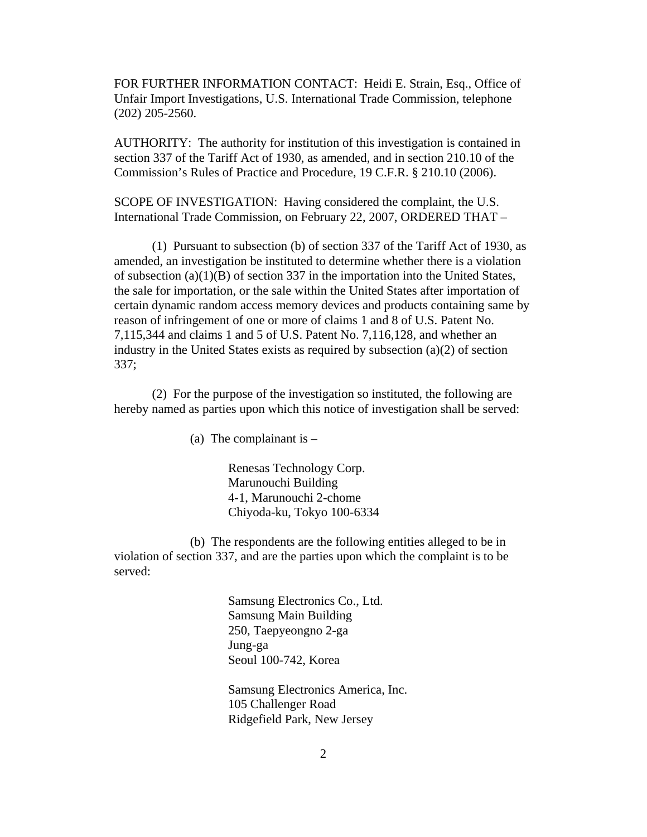FOR FURTHER INFORMATION CONTACT: Heidi E. Strain, Esq., Office of Unfair Import Investigations, U.S. International Trade Commission, telephone (202) 205-2560.

AUTHORITY: The authority for institution of this investigation is contained in section 337 of the Tariff Act of 1930, as amended, and in section 210.10 of the Commission's Rules of Practice and Procedure, 19 C.F.R. § 210.10 (2006).

SCOPE OF INVESTIGATION: Having considered the complaint, the U.S. International Trade Commission, on February 22, 2007, ORDERED THAT –

(1) Pursuant to subsection (b) of section 337 of the Tariff Act of 1930, as amended, an investigation be instituted to determine whether there is a violation of subsection (a)(1)(B) of section 337 in the importation into the United States, the sale for importation, or the sale within the United States after importation of certain dynamic random access memory devices and products containing same by reason of infringement of one or more of claims 1 and 8 of U.S. Patent No. 7,115,344 and claims 1 and 5 of U.S. Patent No. 7,116,128, and whether an industry in the United States exists as required by subsection (a)(2) of section 337;

(2) For the purpose of the investigation so instituted, the following are hereby named as parties upon which this notice of investigation shall be served:

(a) The complainant is  $-$ 

Renesas Technology Corp. Marunouchi Building 4-1, Marunouchi 2-chome Chiyoda-ku, Tokyo 100-6334

(b) The respondents are the following entities alleged to be in violation of section 337, and are the parties upon which the complaint is to be served:

> Samsung Electronics Co., Ltd. Samsung Main Building 250, Taepyeongno 2-ga Jung-ga Seoul 100-742, Korea

Samsung Electronics America, Inc. 105 Challenger Road Ridgefield Park, New Jersey